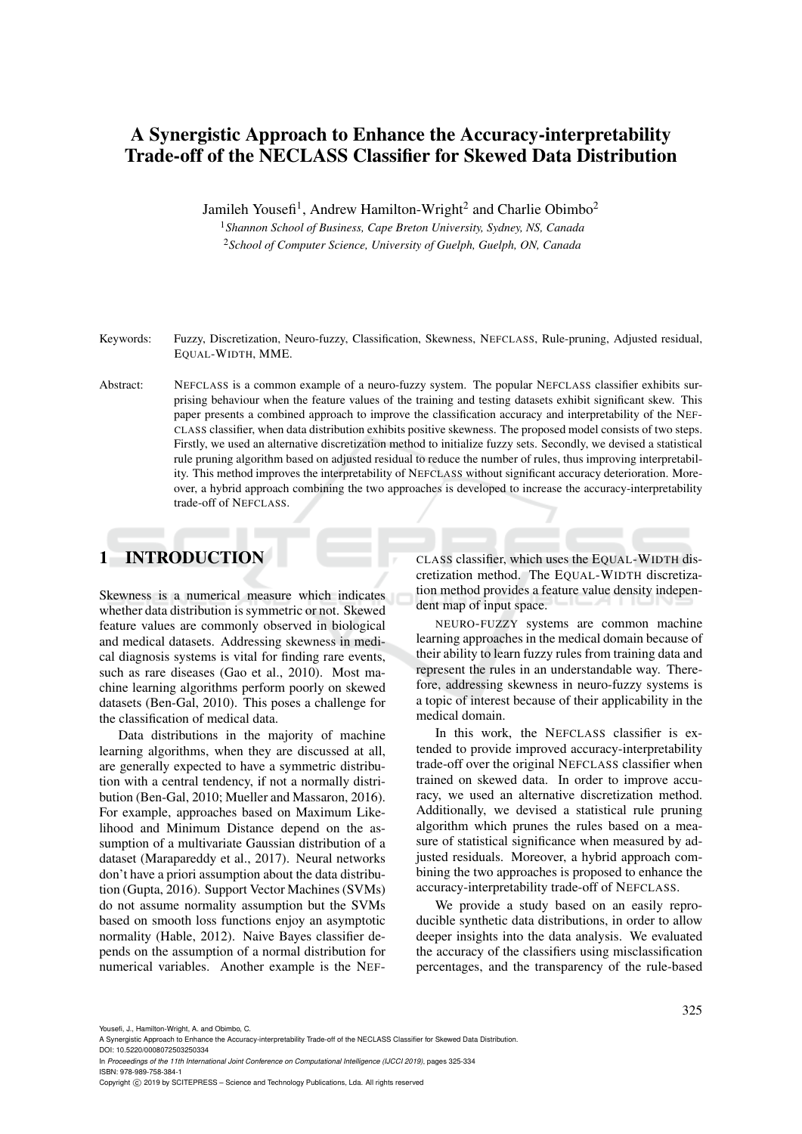# A Synergistic Approach to Enhance the Accuracy-interpretability Trade-off of the NECLASS Classifier for Skewed Data Distribution

Jamileh Yousefi<sup>1</sup>, Andrew Hamilton-Wright<sup>2</sup> and Charlie Obimbo<sup>2</sup>

<sup>1</sup>*Shannon School of Business, Cape Breton University, Sydney, NS, Canada* <sup>2</sup>*School of Computer Science, University of Guelph, Guelph, ON, Canada*

Keywords: Fuzzy, Discretization, Neuro-fuzzy, Classification, Skewness, NEFCLASS, Rule-pruning, Adjusted residual, EQUAL-WIDTH, MME.

Abstract: NEFCLASS is a common example of a neuro-fuzzy system. The popular NEFCLASS classifier exhibits surprising behaviour when the feature values of the training and testing datasets exhibit significant skew. This paper presents a combined approach to improve the classification accuracy and interpretability of the NEF-CLASS classifier, when data distribution exhibits positive skewness. The proposed model consists of two steps. Firstly, we used an alternative discretization method to initialize fuzzy sets. Secondly, we devised a statistical rule pruning algorithm based on adjusted residual to reduce the number of rules, thus improving interpretability. This method improves the interpretability of NEFCLASS without significant accuracy deterioration. Moreover, a hybrid approach combining the two approaches is developed to increase the accuracy-interpretability trade-off of NEFCLASS.

# 1 INTRODUCTION

Skewness is a numerical measure which indicates whether data distribution is symmetric or not. Skewed feature values are commonly observed in biological and medical datasets. Addressing skewness in medical diagnosis systems is vital for finding rare events, such as rare diseases (Gao et al., 2010). Most machine learning algorithms perform poorly on skewed datasets (Ben-Gal, 2010). This poses a challenge for the classification of medical data.

Data distributions in the majority of machine learning algorithms, when they are discussed at all, are generally expected to have a symmetric distribution with a central tendency, if not a normally distribution (Ben-Gal, 2010; Mueller and Massaron, 2016). For example, approaches based on Maximum Likelihood and Minimum Distance depend on the assumption of a multivariate Gaussian distribution of a dataset (Marapareddy et al., 2017). Neural networks don't have a priori assumption about the data distribution (Gupta, 2016). Support Vector Machines (SVMs) do not assume normality assumption but the SVMs based on smooth loss functions enjoy an asymptotic normality (Hable, 2012). Naive Bayes classifier depends on the assumption of a normal distribution for numerical variables. Another example is the NEF-

CLASS classifier, which uses the EQUAL-WIDTH discretization method. The EQUAL-WIDTH discretization method provides a feature value density independent map of input space.

NEURO-FUZZY systems are common machine learning approaches in the medical domain because of their ability to learn fuzzy rules from training data and represent the rules in an understandable way. Therefore, addressing skewness in neuro-fuzzy systems is a topic of interest because of their applicability in the medical domain.

In this work, the NEFCLASS classifier is extended to provide improved accuracy-interpretability trade-off over the original NEFCLASS classifier when trained on skewed data. In order to improve accuracy, we used an alternative discretization method. Additionally, we devised a statistical rule pruning algorithm which prunes the rules based on a measure of statistical significance when measured by adjusted residuals. Moreover, a hybrid approach combining the two approaches is proposed to enhance the accuracy-interpretability trade-off of NEFCLASS.

We provide a study based on an easily reproducible synthetic data distributions, in order to allow deeper insights into the data analysis. We evaluated the accuracy of the classifiers using misclassification percentages, and the transparency of the rule-based

Yousefi, J., Hamilton-Wright, A. and Obimbo, C.

A Synergistic Approach to Enhance the Accuracy-interpretability Trade-off of the NECLASS Classifier for Skewed Data Distribution. DOI: 10.5220/0008072503250334

In *Proceedings of the 11th International Joint Conference on Computational Intelligence (IJCCI 2019)*, pages 325-334 ISBN: 978-989-758-384-1

Copyright (C) 2019 by SCITEPRESS - Science and Technology Publications, Lda. All rights reserved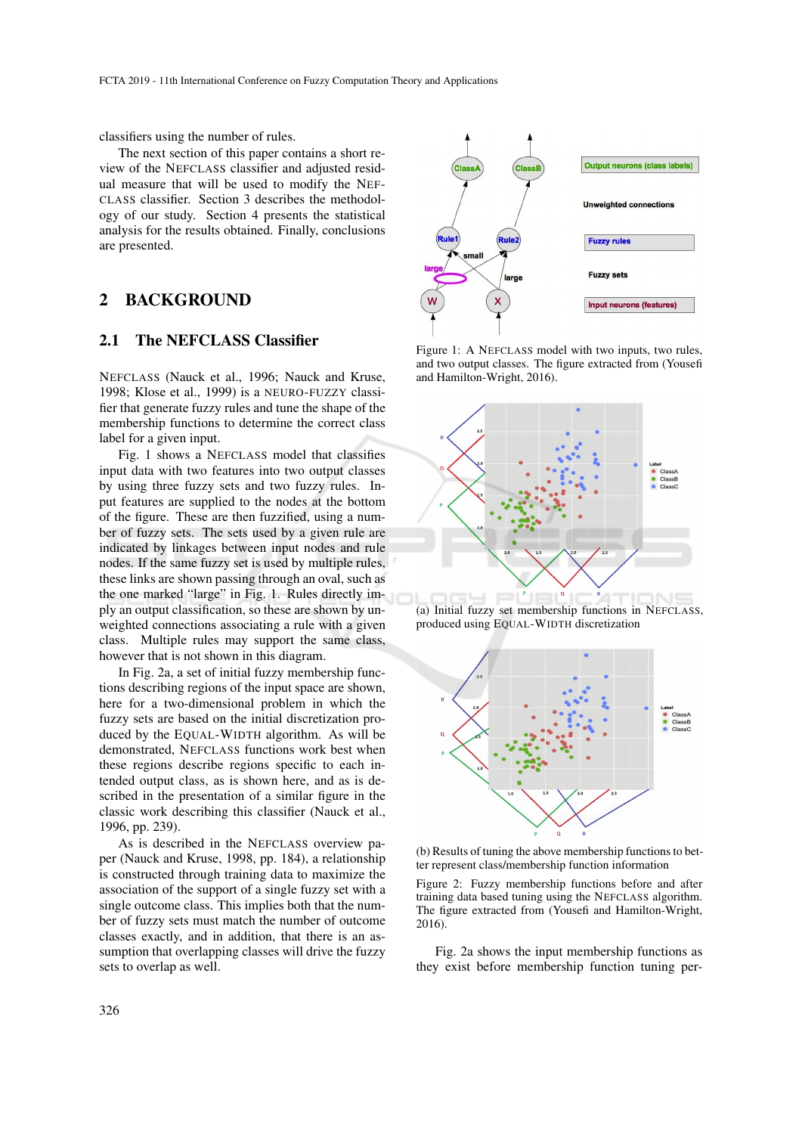classifiers using the number of rules.

The next section of this paper contains a short review of the NEFCLASS classifier and adjusted residual measure that will be used to modify the NEF-CLASS classifier. Section 3 describes the methodology of our study. Section 4 presents the statistical analysis for the results obtained. Finally, conclusions are presented.

## 2 BACKGROUND

### 2.1 The NEFCLASS Classifier

NEFCLASS (Nauck et al., 1996; Nauck and Kruse, 1998; Klose et al., 1999) is a NEURO-FUZZY classifier that generate fuzzy rules and tune the shape of the membership functions to determine the correct class label for a given input.

Fig. 1 shows a NEFCLASS model that classifies input data with two features into two output classes by using three fuzzy sets and two fuzzy rules. Input features are supplied to the nodes at the bottom of the figure. These are then fuzzified, using a number of fuzzy sets. The sets used by a given rule are indicated by linkages between input nodes and rule nodes. If the same fuzzy set is used by multiple rules, these links are shown passing through an oval, such as the one marked "large" in Fig. 1. Rules directly imply an output classification, so these are shown by unweighted connections associating a rule with a given class. Multiple rules may support the same class, however that is not shown in this diagram.

In Fig. 2a, a set of initial fuzzy membership functions describing regions of the input space are shown, here for a two-dimensional problem in which the fuzzy sets are based on the initial discretization produced by the EQUAL-WIDTH algorithm. As will be demonstrated, NEFCLASS functions work best when these regions describe regions specific to each intended output class, as is shown here, and as is described in the presentation of a similar figure in the classic work describing this classifier (Nauck et al., 1996, pp. 239).

As is described in the NEFCLASS overview paper (Nauck and Kruse, 1998, pp. 184), a relationship is constructed through training data to maximize the association of the support of a single fuzzy set with a single outcome class. This implies both that the number of fuzzy sets must match the number of outcome classes exactly, and in addition, that there is an assumption that overlapping classes will drive the fuzzy sets to overlap as well.



Figure 1: A NEFCLASS model with two inputs, two rules, and two output classes. The figure extracted from (Yousefi and Hamilton-Wright, 2016).



(a) Initial fuzzy set membership functions in NEFCLASS, produced using EQUAL-WIDTH discretization



(b) Results of tuning the above membership functions to better represent class/membership function information

Figure 2: Fuzzy membership functions before and after training data based tuning using the NEFCLASS algorithm. The figure extracted from (Yousefi and Hamilton-Wright, 2016).

Fig. 2a shows the input membership functions as they exist before membership function tuning per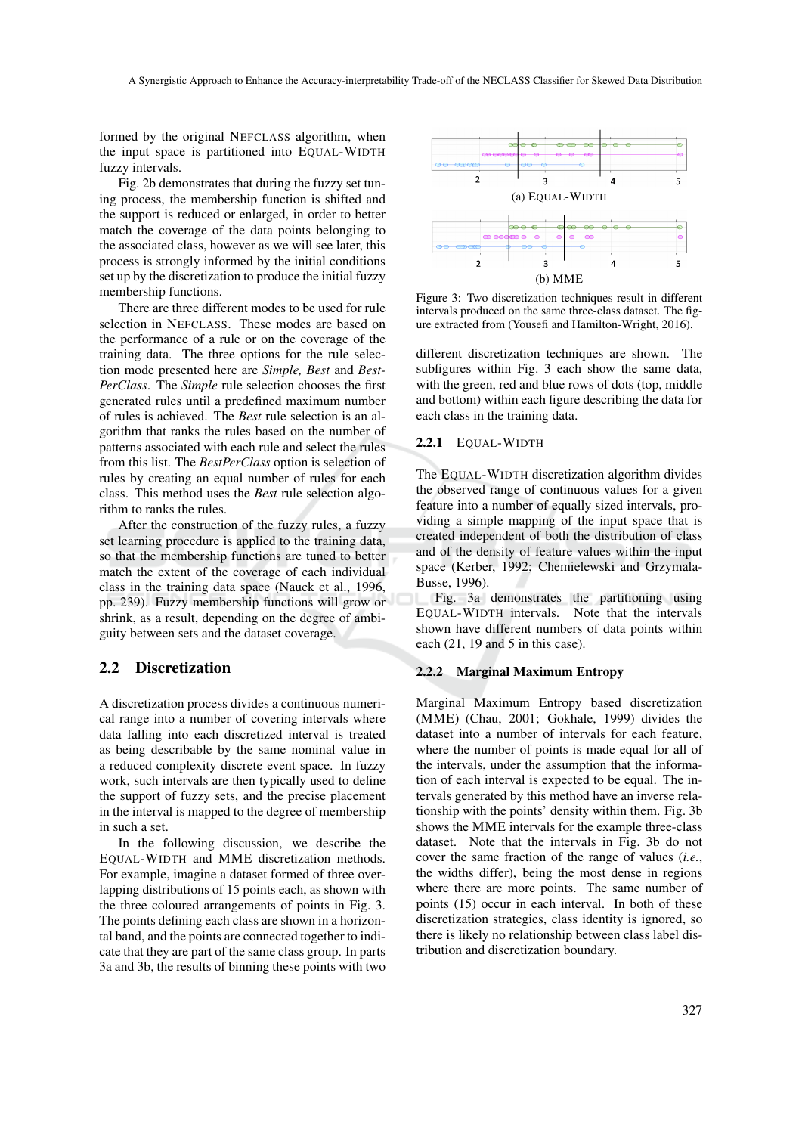formed by the original NEFCLASS algorithm, when the input space is partitioned into EQUAL-WIDTH fuzzy intervals.

Fig. 2b demonstrates that during the fuzzy set tuning process, the membership function is shifted and the support is reduced or enlarged, in order to better match the coverage of the data points belonging to the associated class, however as we will see later, this process is strongly informed by the initial conditions set up by the discretization to produce the initial fuzzy membership functions.

There are three different modes to be used for rule selection in NEFCLASS. These modes are based on the performance of a rule or on the coverage of the training data. The three options for the rule selection mode presented here are *Simple, Best* and *Best-PerClass*. The *Simple* rule selection chooses the first generated rules until a predefined maximum number of rules is achieved. The *Best* rule selection is an algorithm that ranks the rules based on the number of patterns associated with each rule and select the rules from this list. The *BestPerClass* option is selection of rules by creating an equal number of rules for each class. This method uses the *Best* rule selection algorithm to ranks the rules.

After the construction of the fuzzy rules, a fuzzy set learning procedure is applied to the training data, so that the membership functions are tuned to better match the extent of the coverage of each individual class in the training data space (Nauck et al., 1996, pp. 239). Fuzzy membership functions will grow or shrink, as a result, depending on the degree of ambiguity between sets and the dataset coverage.

#### 2.2 Discretization

A discretization process divides a continuous numerical range into a number of covering intervals where data falling into each discretized interval is treated as being describable by the same nominal value in a reduced complexity discrete event space. In fuzzy work, such intervals are then typically used to define the support of fuzzy sets, and the precise placement in the interval is mapped to the degree of membership in such a set.

In the following discussion, we describe the EQUAL-WIDTH and MME discretization methods. For example, imagine a dataset formed of three overlapping distributions of 15 points each, as shown with the three coloured arrangements of points in Fig. 3. The points defining each class are shown in a horizontal band, and the points are connected together to indicate that they are part of the same class group. In parts 3a and 3b, the results of binning these points with two



Figure 3: Two discretization techniques result in different intervals produced on the same three-class dataset. The figure extracted from (Yousefi and Hamilton-Wright, 2016).

different discretization techniques are shown. The subfigures within Fig. 3 each show the same data, with the green, red and blue rows of dots (top, middle and bottom) within each figure describing the data for each class in the training data.

#### 2.2.1 EQUAL-WIDTH

The EQUAL-WIDTH discretization algorithm divides the observed range of continuous values for a given feature into a number of equally sized intervals, providing a simple mapping of the input space that is created independent of both the distribution of class and of the density of feature values within the input space (Kerber, 1992; Chemielewski and Grzymala-Busse, 1996).

Fig. 3a demonstrates the partitioning using EQUAL-WIDTH intervals. Note that the intervals shown have different numbers of data points within each (21, 19 and 5 in this case).

#### 2.2.2 Marginal Maximum Entropy

Marginal Maximum Entropy based discretization (MME) (Chau, 2001; Gokhale, 1999) divides the dataset into a number of intervals for each feature, where the number of points is made equal for all of the intervals, under the assumption that the information of each interval is expected to be equal. The intervals generated by this method have an inverse relationship with the points' density within them. Fig. 3b shows the MME intervals for the example three-class dataset. Note that the intervals in Fig. 3b do not cover the same fraction of the range of values (*i.e.*, the widths differ), being the most dense in regions where there are more points. The same number of points (15) occur in each interval. In both of these discretization strategies, class identity is ignored, so there is likely no relationship between class label distribution and discretization boundary.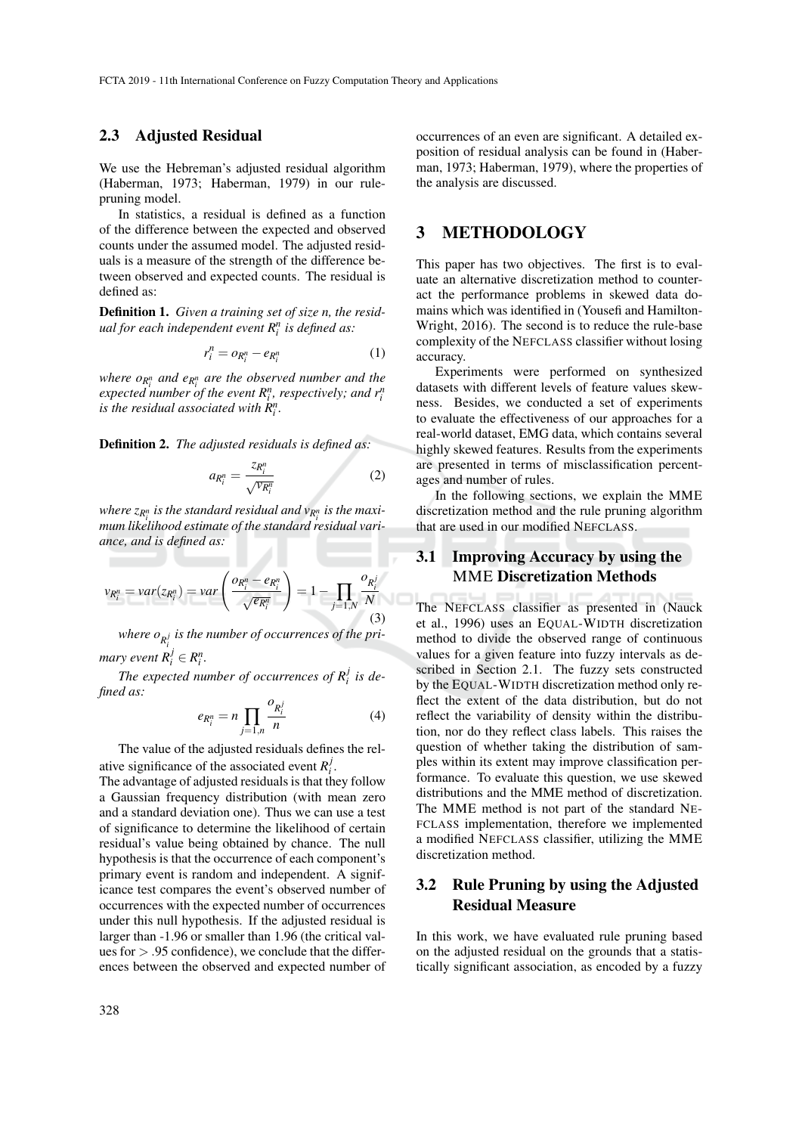### 2.3 Adjusted Residual

We use the Hebreman's adjusted residual algorithm (Haberman, 1973; Haberman, 1979) in our rulepruning model.

In statistics, a residual is defined as a function of the difference between the expected and observed counts under the assumed model. The adjusted residuals is a measure of the strength of the difference between observed and expected counts. The residual is defined as:

Definition 1. *Given a training set of size n, the residual for each independent event R<sup>n</sup> i is defined as:*

$$
r_i^n = o_{R_i^n} - e_{R_i^n}
$$
 (1)

where  $o_{R_i^n}$  and  $e_{R_i^n}$  are the observed number and the  $\sum_{i=1}^{n}$  and  $\sum_{i=1}^{n}$  are the event  $R_i^n$ , respectively; and  $r_i^n$ *is the residual associated with*  $R_i^n$ *.* 

Definition 2. *The adjusted residuals is defined as:*

$$
a_{R_i^n} = \frac{z_{R_i^n}}{\sqrt{v_{R_i^n}}} \tag{2}
$$

where  $z_{R_i^n}$  is the standard residual and  $v_{R_i^n}$  is the maxi*mum likelihood estimate of the standard residual variance, and is defined as:*

$$
v_{R_i^n} = var(z_{R_i^n}) = var\left(\frac{o_{R_i^n} - e_{R_i^n}}{\sqrt{e_{R_i^n}}}\right) = 1 - \prod_{j=1,N} \frac{o_{R_i^j}}{N}
$$
\n(3)

where  $o_{R_i^j}$  is the number of occurrences of the pri*mary event*  $R_i^j \in R_i^n$ .

The expected number of occurrences of  $R_i^j$  is de*fined as:*

$$
e_{R_i^n} = n \prod_{j=1,n} \frac{o_{R_i^j}}{n} \tag{4}
$$

The value of the adjusted residuals defines the relative significance of the associated event  $R_i^j$ .

The advantage of adjusted residuals is that they follow a Gaussian frequency distribution (with mean zero and a standard deviation one). Thus we can use a test of significance to determine the likelihood of certain residual's value being obtained by chance. The null hypothesis is that the occurrence of each component's primary event is random and independent. A significance test compares the event's observed number of occurrences with the expected number of occurrences under this null hypothesis. If the adjusted residual is larger than -1.96 or smaller than 1.96 (the critical values for  $> .95$  confidence), we conclude that the differences between the observed and expected number of occurrences of an even are significant. A detailed exposition of residual analysis can be found in (Haberman, 1973; Haberman, 1979), where the properties of the analysis are discussed.

# 3 METHODOLOGY

This paper has two objectives. The first is to evaluate an alternative discretization method to counteract the performance problems in skewed data domains which was identified in (Yousefi and Hamilton-Wright, 2016). The second is to reduce the rule-base complexity of the NEFCLASS classifier without losing accuracy.

Experiments were performed on synthesized datasets with different levels of feature values skewness. Besides, we conducted a set of experiments to evaluate the effectiveness of our approaches for a real-world dataset, EMG data, which contains several highly skewed features. Results from the experiments are presented in terms of misclassification percentages and number of rules.

In the following sections, we explain the MME discretization method and the rule pruning algorithm that are used in our modified NEFCLASS.

# 3.1 Improving Accuracy by using the MME Discretization Methods

The NEFCLASS classifier as presented in (Nauck et al., 1996) uses an EQUAL-WIDTH discretization method to divide the observed range of continuous values for a given feature into fuzzy intervals as described in Section 2.1. The fuzzy sets constructed by the EQUAL-WIDTH discretization method only reflect the extent of the data distribution, but do not reflect the variability of density within the distribution, nor do they reflect class labels. This raises the question of whether taking the distribution of samples within its extent may improve classification performance. To evaluate this question, we use skewed distributions and the MME method of discretization. The MME method is not part of the standard NE-FCLASS implementation, therefore we implemented a modified NEFCLASS classifier, utilizing the MME discretization method.

# 3.2 Rule Pruning by using the Adjusted Residual Measure

In this work, we have evaluated rule pruning based on the adjusted residual on the grounds that a statistically significant association, as encoded by a fuzzy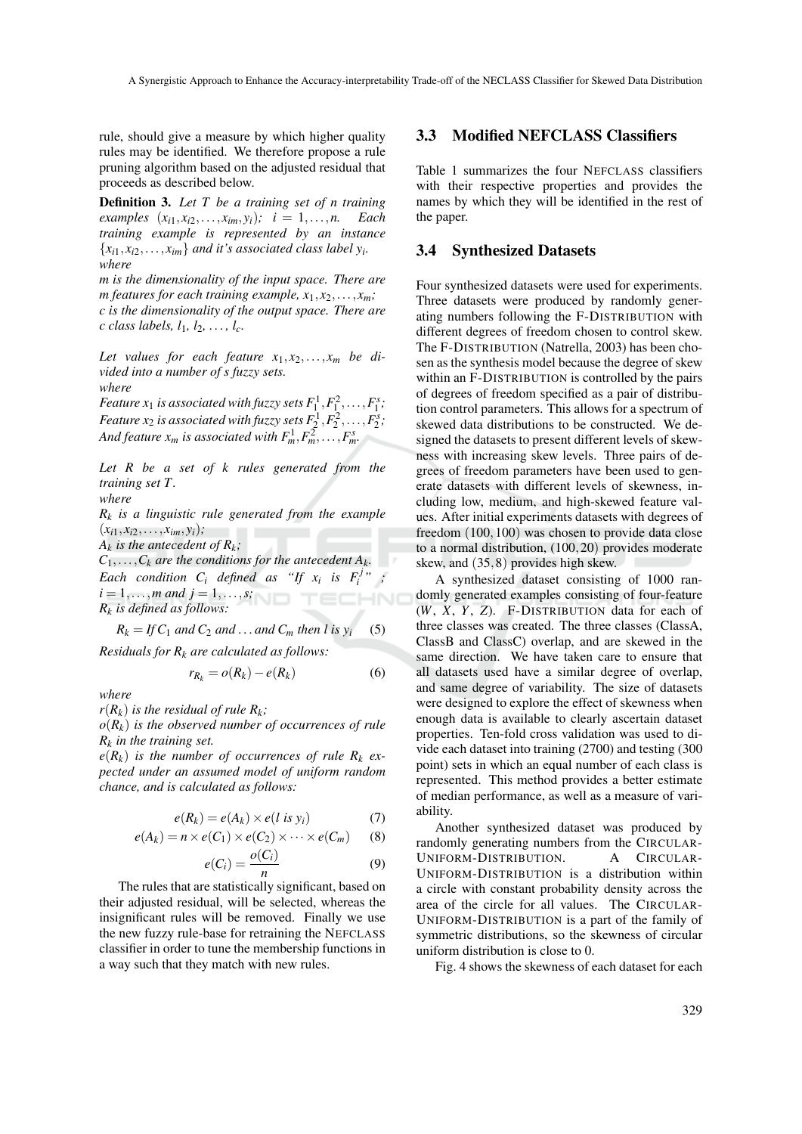rule, should give a measure by which higher quality rules may be identified. We therefore propose a rule pruning algorithm based on the adjusted residual that proceeds as described below.

Definition 3. *Let T be a training set of n training examples*  $(x_{i1}, x_{i2}, \ldots, x_{im}, y_i); i = 1, \ldots, n.$  *Each training example is represented by an instance*  ${x_{i1}, x_{i2}, \ldots, x_{im}}$  *and it's associated class label y<sub>i</sub>*. *where*

*m is the dimensionality of the input space. There are m* features for each training example,  $x_1, x_2, \ldots, x_m$ ; *c is the dimensionality of the output space. There are c class labels, l*1*, l*2*, . . . , lc.*

Let values for each feature  $x_1, x_2, \ldots, x_m$  be di*vided into a number of s fuzzy sets. where*

*Feature x*<sub>1</sub> *is associated with fuzzy sets*  $F_1^1, F_1^2, \ldots, F_1^s$ ; *Feature x*<sub>2</sub> *is associated with fuzzy sets*  $F_2^1, F_2^2, \ldots, F_2^s$ ; And feature  $x_m$  is associated with  $F^1_m, F^2_m, \ldots, F^s_m$ .

*Let R be a set of k rules generated from the training set T . where*

*R<sup>k</sup> is a linguistic rule generated from the example*  $(x_{i1}, x_{i2}, \ldots, x_{im}, y_i);$ 

 $A_k$  *is the antecedent of*  $R_k$ *;* 

 $C_1, \ldots, C_k$  *are the conditions for the antecedent*  $A_k$ *. Each condition*  $C_i$  *defined as "If*  $x_i$  *is*  $F_i^{j}$ " ;  $i = 1, \ldots, m$  and  $j = 1, \ldots, s;$ *R<sup>k</sup> is defined as follows:*

 $R_k = I f C_1$  *and*  $C_2$  *and*  $\ldots$  *and*  $C_m$  *then l is*  $y_i$  (5)

*Residuals for R<sup>k</sup> are calculated as follows:*

$$
r_{R_k} = o(R_k) - e(R_k) \tag{6}
$$

*where*

 $r(R_k)$  *is the residual of rule*  $R_k$ *;* 

*o*(*Rk*) *is the observed number of occurrences of rule R<sup>k</sup> in the training set.*

 $e(R_k)$  *is the number of occurrences of rule*  $R_k$  *expected under an assumed model of uniform random chance, and is calculated as follows:*

$$
e(R_k) = e(A_k) \times e(l \text{ is } y_i)
$$
 (7)

$$
e(A_k) = n \times e(C_1) \times e(C_2) \times \cdots \times e(C_m) \qquad (8)
$$

$$
e(C_i) = \frac{o(C_i)}{n} \tag{9}
$$

The rules that are statistically significant, based on their adjusted residual, will be selected, whereas the insignificant rules will be removed. Finally we use the new fuzzy rule-base for retraining the NEFCLASS classifier in order to tune the membership functions in a way such that they match with new rules.

#### 3.3 Modified NEFCLASS Classifiers

Table 1 summarizes the four NEFCLASS classifiers with their respective properties and provides the names by which they will be identified in the rest of the paper.

#### 3.4 Synthesized Datasets

Four synthesized datasets were used for experiments. Three datasets were produced by randomly generating numbers following the F-DISTRIBUTION with different degrees of freedom chosen to control skew. The F-DISTRIBUTION (Natrella, 2003) has been chosen as the synthesis model because the degree of skew within an F-DISTRIBUTION is controlled by the pairs of degrees of freedom specified as a pair of distribution control parameters. This allows for a spectrum of skewed data distributions to be constructed. We designed the datasets to present different levels of skewness with increasing skew levels. Three pairs of degrees of freedom parameters have been used to generate datasets with different levels of skewness, including low, medium, and high-skewed feature values. After initial experiments datasets with degrees of freedom (100,100) was chosen to provide data close to a normal distribution, (100,20) provides moderate skew, and (35,8) provides high skew.

A synthesized dataset consisting of 1000 randomly generated examples consisting of four-feature (*W*, *X*, *Y*, *Z*). F-DISTRIBUTION data for each of three classes was created. The three classes (ClassA, ClassB and ClassC) overlap, and are skewed in the same direction. We have taken care to ensure that all datasets used have a similar degree of overlap, and same degree of variability. The size of datasets were designed to explore the effect of skewness when enough data is available to clearly ascertain dataset properties. Ten-fold cross validation was used to divide each dataset into training (2700) and testing (300 point) sets in which an equal number of each class is represented. This method provides a better estimate of median performance, as well as a measure of variability.

Another synthesized dataset was produced by randomly generating numbers from the CIRCULAR-UNIFORM-DISTRIBUTION. A CIRCULAR-UNIFORM-DISTRIBUTION is a distribution within a circle with constant probability density across the area of the circle for all values. The CIRCULAR-UNIFORM-DISTRIBUTION is a part of the family of symmetric distributions, so the skewness of circular uniform distribution is close to 0.

Fig. 4 shows the skewness of each dataset for each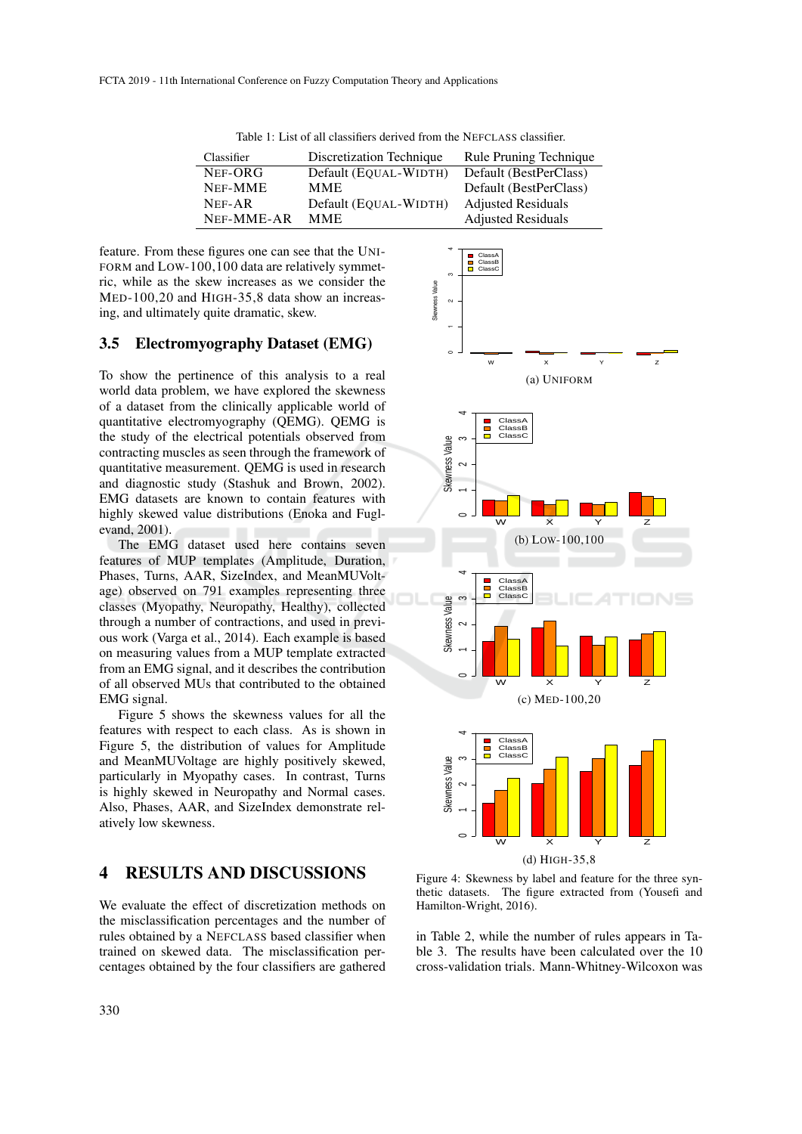| Table 1: List of all classifiers derived from the NEFCLASS classifier. |  |
|------------------------------------------------------------------------|--|
|------------------------------------------------------------------------|--|

| Classifier | Discretization Technique | Rule Pruning Technique    |
|------------|--------------------------|---------------------------|
| NEF-ORG    | Default (EQUAL-WIDTH)    | Default (BestPerClass)    |
| NEF-MME    | <b>MME</b>               | Default (BestPerClass)    |
| $NEF-AR$   | Default (EQUAL-WIDTH)    | <b>Adjusted Residuals</b> |
| NEF-MME-AR | <b>MME</b>               | <b>Adjusted Residuals</b> |

feature. From these figures one can see that the UNI-FORM and LOW-100,100 data are relatively symmetric, while as the skew increases as we consider the MED-100,20 and HIGH-35,8 data show an increasing, and ultimately quite dramatic, skew.

#### 3.5 Electromyography Dataset (EMG)

To show the pertinence of this analysis to a real world data problem, we have explored the skewness of a dataset from the clinically applicable world of quantitative electromyography (QEMG). QEMG is the study of the electrical potentials observed from contracting muscles as seen through the framework of quantitative measurement. QEMG is used in research and diagnostic study (Stashuk and Brown, 2002). EMG datasets are known to contain features with highly skewed value distributions (Enoka and Fuglevand, 2001).

The EMG dataset used here contains seven features of MUP templates (Amplitude, Duration, Phases, Turns, AAR, SizeIndex, and MeanMUVoltage) observed on 791 examples representing three classes (Myopathy, Neuropathy, Healthy), collected through a number of contractions, and used in previous work (Varga et al., 2014). Each example is based on measuring values from a MUP template extracted from an EMG signal, and it describes the contribution of all observed MUs that contributed to the obtained EMG signal.

Figure 5 shows the skewness values for all the features with respect to each class. As is shown in Figure 5, the distribution of values for Amplitude and MeanMUVoltage are highly positively skewed, particularly in Myopathy cases. In contrast, Turns is highly skewed in Neuropathy and Normal cases. Also, Phases, AAR, and SizeIndex demonstrate relatively low skewness.

## 4 RESULTS AND DISCUSSIONS

We evaluate the effect of discretization methods on the misclassification percentages and the number of rules obtained by a NEFCLASS based classifier when trained on skewed data. The misclassification percentages obtained by the four classifiers are gathered



Figure 4: Skewness by label and feature for the three synthetic datasets. The figure extracted from (Yousefi and Hamilton-Wright, 2016).

in Table 2, while the number of rules appears in Table 3. The results have been calculated over the 10 cross-validation trials. Mann-Whitney-Wilcoxon was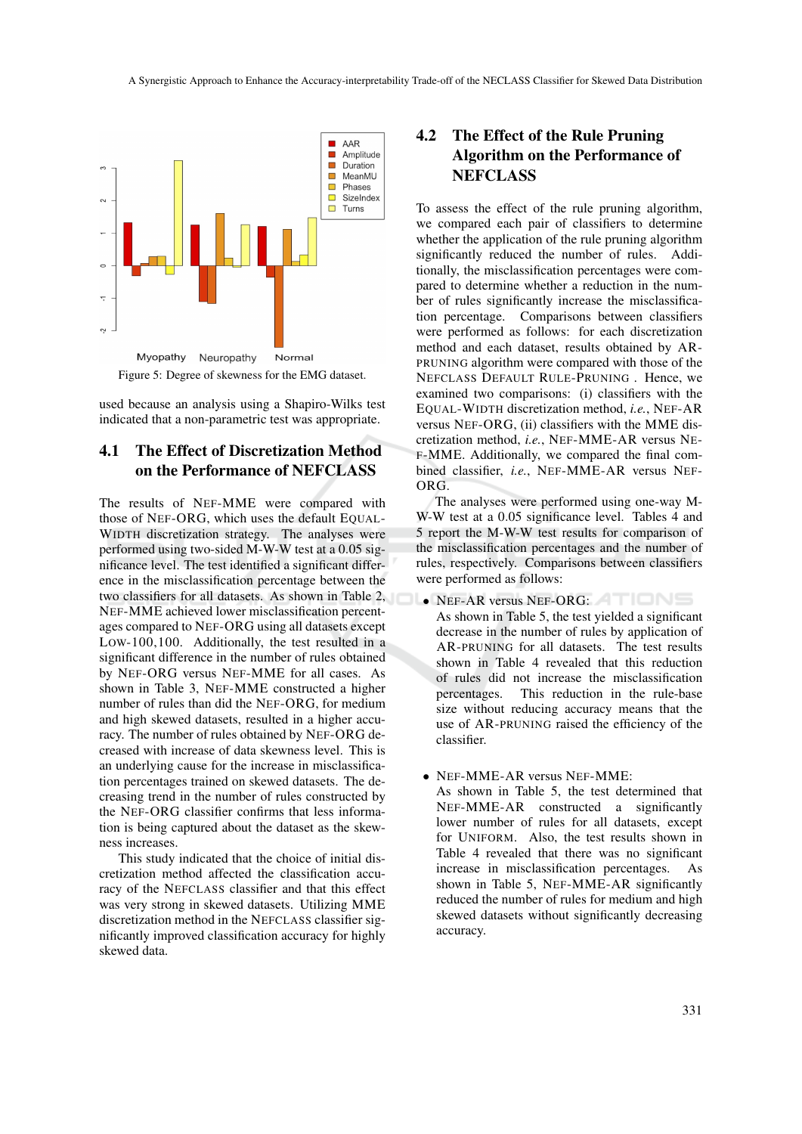

used because an analysis using a Shapiro-Wilks test indicated that a non-parametric test was appropriate.

# 4.1 The Effect of Discretization Method on the Performance of NEFCLASS

The results of NEF-MME were compared with those of NEF-ORG, which uses the default EQUAL-WIDTH discretization strategy. The analyses were performed using two-sided M-W-W test at a 0.05 significance level. The test identified a significant difference in the misclassification percentage between the two classifiers for all datasets. As shown in Table 2, • NEF-AR versus NEF-ORG: NEF-MME achieved lower misclassification percentages compared to NEF-ORG using all datasets except LOW-100,100. Additionally, the test resulted in a significant difference in the number of rules obtained by NEF-ORG versus NEF-MME for all cases. As shown in Table 3, NEF-MME constructed a higher number of rules than did the NEF-ORG, for medium and high skewed datasets, resulted in a higher accuracy. The number of rules obtained by NEF-ORG decreased with increase of data skewness level. This is an underlying cause for the increase in misclassification percentages trained on skewed datasets. The decreasing trend in the number of rules constructed by the NEF-ORG classifier confirms that less information is being captured about the dataset as the skewness increases.

This study indicated that the choice of initial discretization method affected the classification accuracy of the NEFCLASS classifier and that this effect was very strong in skewed datasets. Utilizing MME discretization method in the NEFCLASS classifier significantly improved classification accuracy for highly skewed data.

# 4.2 The Effect of the Rule Pruning Algorithm on the Performance of NEFCLASS

To assess the effect of the rule pruning algorithm, we compared each pair of classifiers to determine whether the application of the rule pruning algorithm significantly reduced the number of rules. Additionally, the misclassification percentages were compared to determine whether a reduction in the number of rules significantly increase the misclassification percentage. Comparisons between classifiers were performed as follows: for each discretization method and each dataset, results obtained by AR-PRUNING algorithm were compared with those of the NEFCLASS DEFAULT RULE-PRUNING . Hence, we examined two comparisons: (i) classifiers with the EQUAL-WIDTH discretization method, *i.e.*, NEF-AR versus NEF-ORG, (ii) classifiers with the MME discretization method, *i.e.*, NEF-MME-AR versus NE-F-MME. Additionally, we compared the final combined classifier, *i.e.*, NEF-MME-AR versus NEF-ORG.

The analyses were performed using one-way M-W-W test at a 0.05 significance level. Tables 4 and 5 report the M-W-W test results for comparison of the misclassification percentages and the number of rules, respectively. Comparisons between classifiers were performed as follows:

- As shown in Table 5, the test yielded a significant decrease in the number of rules by application of AR-PRUNING for all datasets. The test results shown in Table 4 revealed that this reduction of rules did not increase the misclassification percentages. This reduction in the rule-base size without reducing accuracy means that the use of AR-PRUNING raised the efficiency of the classifier.
- NEF-MME-AR versus NEF-MME:

As shown in Table 5, the test determined that NEF-MME-AR constructed a significantly lower number of rules for all datasets, except for UNIFORM. Also, the test results shown in Table 4 revealed that there was no significant increase in misclassification percentages. As shown in Table 5, NEF-MME-AR significantly reduced the number of rules for medium and high skewed datasets without significantly decreasing accuracy.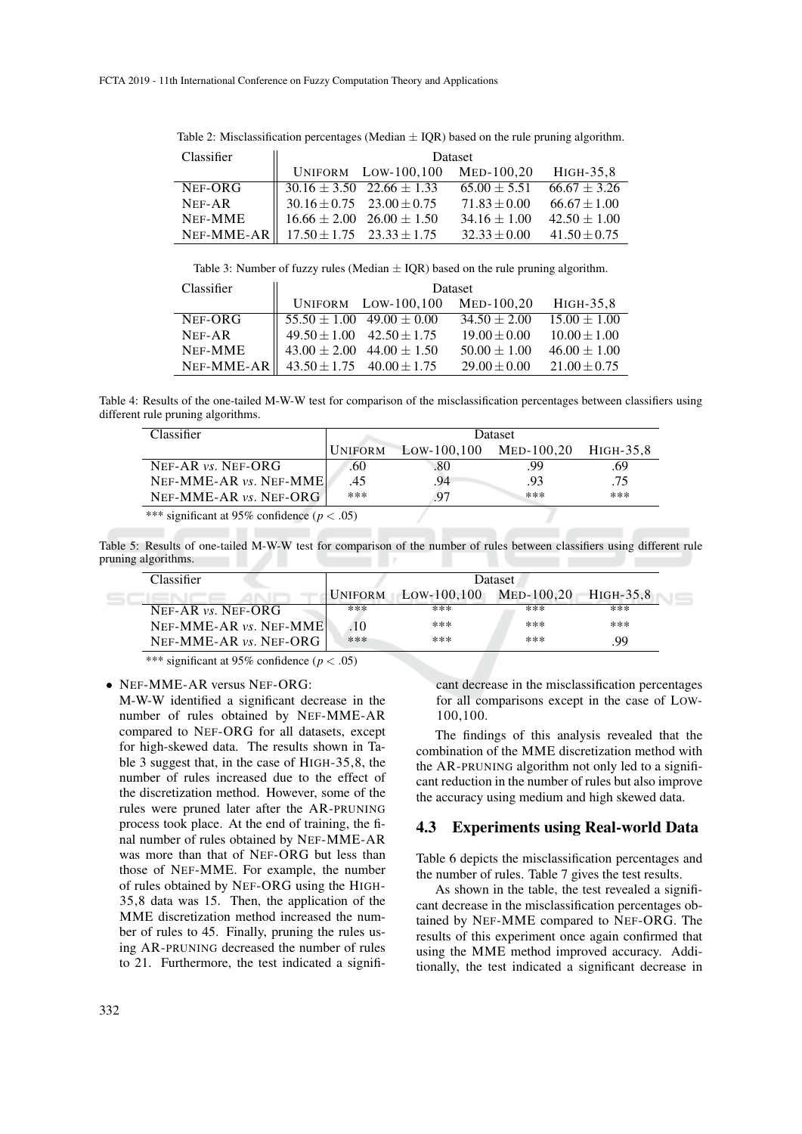| Classifier | Dataset                                       |                                   |                  |                  |
|------------|-----------------------------------------------|-----------------------------------|------------------|------------------|
|            |                                               | UNIFORM LOW-100.100               | $MED-100,20$     | HIGH-35.8        |
| NEF-ORG    |                                               | $30.16 \pm 3.50$ 22.66 $\pm$ 1.33 | $65.00 \pm 5.51$ | $66.67 \pm 3.26$ |
| $NEF-AR$   | $\parallel$ 30.16 $\pm$ 0.75 23.00 $\pm$ 0.75 |                                   | $71.83 \pm 0.00$ | $66.67 \pm 1.00$ |
| NEF-MME    |                                               | $16.66 \pm 2.00$ $26.00 \pm 1.50$ | $34.16 \pm 1.00$ | $42.50 \pm 1.00$ |
| NEF-MME-AR |                                               | $17.50 \pm 1.75$ $23.33 \pm 1.75$ | $32.33 \pm 0.00$ | $41.50 \pm 0.75$ |

Table 2: Misclassification percentages (Median  $\pm$  IQR) based on the rule pruning algorithm.

Table 3: Number of fuzzy rules (Median  $\pm$  IQR) based on the rule pruning algorithm.

| Classifier | <b>Dataset</b>                    |  |                  |                  |
|------------|-----------------------------------|--|------------------|------------------|
|            | UNIFORM LOW-100,100               |  | $MED-100,20$     | HIGH-35.8        |
| NEF-ORG    | $55.50 \pm 1.00$ 49.00 $\pm$ 0.00 |  | $34.50 \pm 2.00$ | $15.00 + 1.00$   |
| $NEF-AR$   | $49.50 \pm 1.00$ $42.50 \pm 1.75$ |  | $19.00 \pm 0.00$ | $10.00 \pm 1.00$ |
| NEF-MME    | $43.00 \pm 2.00$ $44.00 \pm 1.50$ |  | $50.00 \pm 1.00$ | $46.00 \pm 1.00$ |
| NEF-MME-AR | $43.50 \pm 1.75$ $40.00 \pm 1.75$ |  | $29.00 \pm 0.00$ | $21.00 \pm 0.75$ |

Table 4: Results of the one-tailed M-W-W test for comparison of the misclassification percentages between classifiers using different rule pruning algorithms.

| Classifier                                      | Dataset        |                          |     |           |
|-------------------------------------------------|----------------|--------------------------|-----|-----------|
|                                                 | <b>UNIFORM</b> | $LOW-100,100$ MED-100,20 |     | HIGH-35.8 |
| $NEF-AR vs. NEF-ORG$                            | .60            | .80                      | 99  | .69       |
| NEF-MME-AR vs. NEF-MME                          | .45            | .94                      | .93 | .75       |
| NEF-MME-AR vs. NEF-ORG                          | ***            | Q7                       | *** | ***       |
| *** significant at 95% confidence ( $p < .05$ ) |                |                          |     |           |

Table 5: Results of one-tailed M-W-W test for comparison of the number of rules between classifiers using different rule pruning algorithms.

| Classifier              | Dataset |                        |     |           |
|-------------------------|---------|------------------------|-----|-----------|
|                         | UNIFORM | Low-100.100 MED-100.20 |     | HIGH-35.8 |
| NEF-AR $vs.$ NEF-ORG    | ***     | ***                    | *** | ***       |
| NEF-MME-AR vs. NEF-MMEI | .10     | ***                    | *** | ***       |
| NEF-MME-AR vs. NEF-ORG  | ***     | ***                    | *** | 99        |

\*\*\* significant at 95% confidence (*p* < .05)

#### • NEF-MME-AR versus NEF-ORG:

M-W-W identified a significant decrease in the number of rules obtained by NEF-MME-AR compared to NEF-ORG for all datasets, except for high-skewed data. The results shown in Table 3 suggest that, in the case of HIGH-35,8, the number of rules increased due to the effect of the discretization method. However, some of the rules were pruned later after the AR-PRUNING process took place. At the end of training, the final number of rules obtained by NEF-MME-AR was more than that of NEF-ORG but less than those of NEF-MME. For example, the number of rules obtained by NEF-ORG using the HIGH-35,8 data was 15. Then, the application of the MME discretization method increased the number of rules to 45. Finally, pruning the rules using AR-PRUNING decreased the number of rules to 21. Furthermore, the test indicated a significant decrease in the misclassification percentages for all comparisons except in the case of LOW-100,100.

The findings of this analysis revealed that the combination of the MME discretization method with the AR-PRUNING algorithm not only led to a significant reduction in the number of rules but also improve the accuracy using medium and high skewed data.

#### 4.3 Experiments using Real-world Data

Table 6 depicts the misclassification percentages and the number of rules. Table 7 gives the test results.

As shown in the table, the test revealed a significant decrease in the misclassification percentages obtained by NEF-MME compared to NEF-ORG. The results of this experiment once again confirmed that using the MME method improved accuracy. Additionally, the test indicated a significant decrease in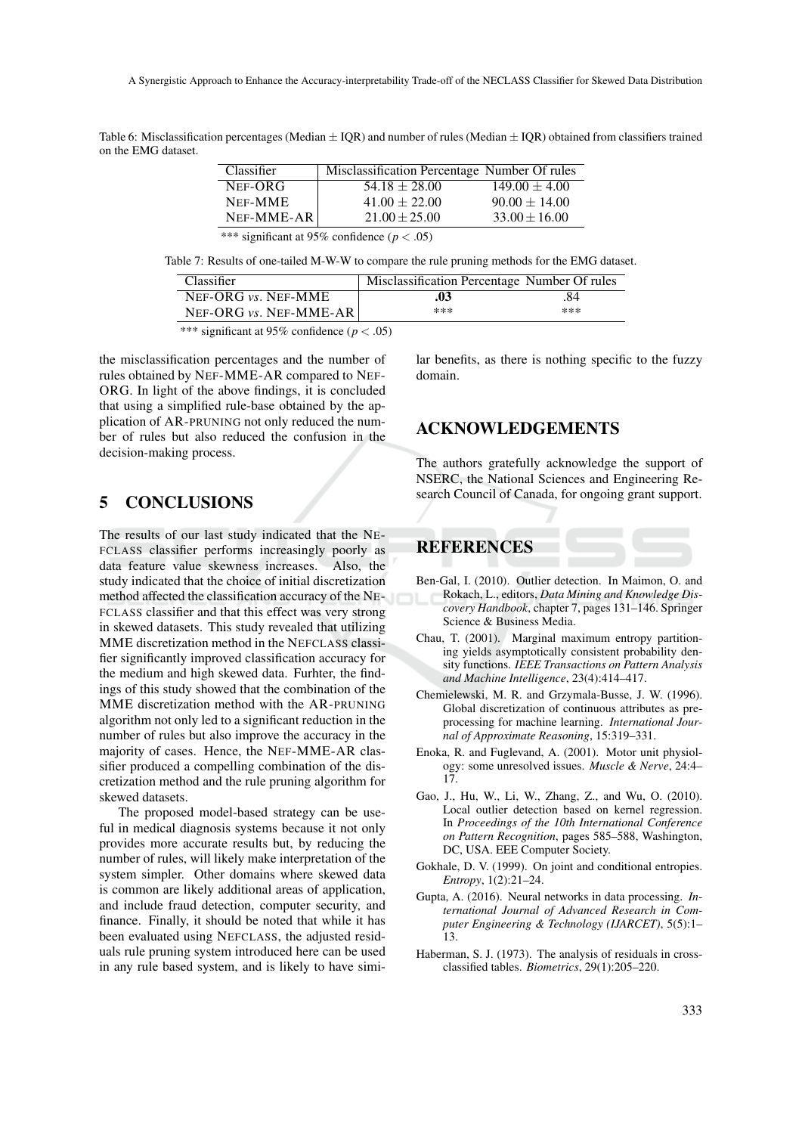Table 6: Misclassification percentages (Median  $\pm$  IQR) and number of rules (Median  $\pm$  IQR) obtained from classifiers trained on the EMG dataset.

| Classifier   | Misclassification Percentage Number Of rules |                   |
|--------------|----------------------------------------------|-------------------|
| NEF-ORG      | $54.18 \pm 28.00$                            | $149.00 \pm 4.00$ |
| NEF-MME      | $41.00 \pm 22.00$                            | $90.00 + 14.00$   |
| $NEF-MME-AR$ | $21.00 \pm 25.00$                            | $33.00 \pm 16.00$ |
|              |                                              |                   |

significant at 95% confidence ( $p < .05$ )

Table 7: Results of one-tailed M-W-W to compare the rule pruning methods for the EMG dataset.

| Classifier                       | Misclassification Percentage Number Of rules |     |
|----------------------------------|----------------------------------------------|-----|
| NEF-ORG vs. NEF-MME              | .03                                          | .84 |
| NEF-ORG $vs.$ NEF-MME-AR $\vert$ | ***                                          | *** |
|                                  |                                              |     |

\*\*\* significant at 95% confidence ( $p < .05$ )

the misclassification percentages and the number of rules obtained by NEF-MME-AR compared to NEF-ORG. In light of the above findings, it is concluded that using a simplified rule-base obtained by the application of AR-PRUNING not only reduced the number of rules but also reduced the confusion in the decision-making process.

### 5 CONCLUSIONS

The results of our last study indicated that the NE-FCLASS classifier performs increasingly poorly as data feature value skewness increases. Also, the study indicated that the choice of initial discretization method affected the classification accuracy of the NE-FCLASS classifier and that this effect was very strong in skewed datasets. This study revealed that utilizing MME discretization method in the NEFCLASS classifier significantly improved classification accuracy for the medium and high skewed data. Furhter, the findings of this study showed that the combination of the MME discretization method with the AR-PRUNING algorithm not only led to a significant reduction in the number of rules but also improve the accuracy in the majority of cases. Hence, the NEF-MME-AR classifier produced a compelling combination of the discretization method and the rule pruning algorithm for skewed datasets.

The proposed model-based strategy can be useful in medical diagnosis systems because it not only provides more accurate results but, by reducing the number of rules, will likely make interpretation of the system simpler. Other domains where skewed data is common are likely additional areas of application, and include fraud detection, computer security, and finance. Finally, it should be noted that while it has been evaluated using NEFCLASS, the adjusted residuals rule pruning system introduced here can be used in any rule based system, and is likely to have similar benefits, as there is nothing specific to the fuzzy domain.

# ACKNOWLEDGEMENTS

The authors gratefully acknowledge the support of NSERC, the National Sciences and Engineering Research Council of Canada, for ongoing grant support.

### REFERENCES

- Ben-Gal, I. (2010). Outlier detection. In Maimon, O. and Rokach, L., editors, *Data Mining and Knowledge Discovery Handbook*, chapter 7, pages 131–146. Springer Science & Business Media.
- Chau, T. (2001). Marginal maximum entropy partitioning yields asymptotically consistent probability density functions. *IEEE Transactions on Pattern Analysis and Machine Intelligence*, 23(4):414–417.
- Chemielewski, M. R. and Grzymala-Busse, J. W. (1996). Global discretization of continuous attributes as preprocessing for machine learning. *International Journal of Approximate Reasoning*, 15:319–331.
- Enoka, R. and Fuglevand, A. (2001). Motor unit physiology: some unresolved issues. *Muscle & Nerve*, 24:4– 17.
- Gao, J., Hu, W., Li, W., Zhang, Z., and Wu, O. (2010). Local outlier detection based on kernel regression. In *Proceedings of the 10th International Conference on Pattern Recognition*, pages 585–588, Washington, DC, USA. EEE Computer Society.
- Gokhale, D. V. (1999). On joint and conditional entropies. *Entropy*, 1(2):21–24.
- Gupta, A. (2016). Neural networks in data processing. *International Journal of Advanced Research in Computer Engineering & Technology (IJARCET)*, 5(5):1– 13.
- Haberman, S. J. (1973). The analysis of residuals in crossclassified tables. *Biometrics*, 29(1):205–220.